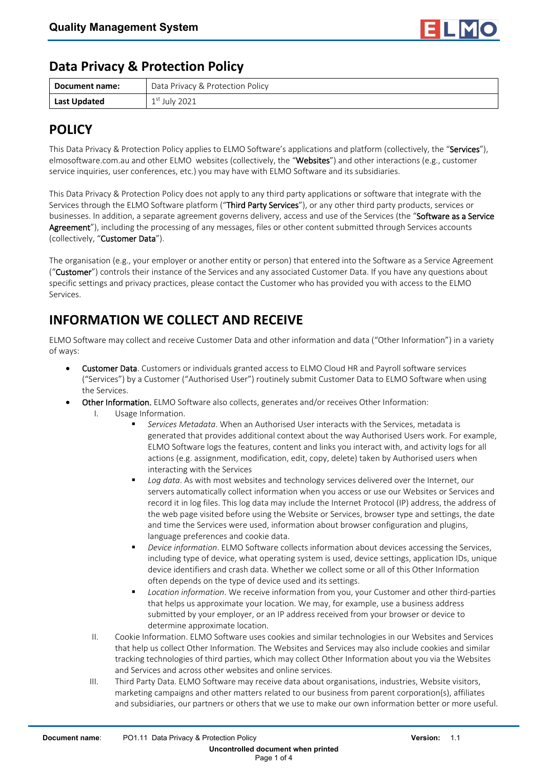

#### **Data Privacy & Protection Policy**

| Document name: | Data Privacy & Protection Policy |
|----------------|----------------------------------|
| Last Updated   | $1st$ July 2021                  |

### **POLICY**

This Data Privacy & Protection Policy applies to ELMO Software's applications and platform (collectively, the "Services"), elmosoftware.com.au and other ELMO websites (collectively, the "Websites") and other interactions (e.g., customer service inquiries, user conferences, etc.) you may have with ELMO Software and its subsidiaries.

This Data Privacy & Protection Policy does not apply to any third party applications or software that integrate with the Services through the ELMO Software platform ("Third Party Services"), or any other third party products, services or businesses. In addition, a separate agreement governs delivery, access and use of the Services (the "Software as a Service Agreement"), including the processing of any messages, files or other content submitted through Services accounts (collectively, "Customer Data").

The organisation (e.g., your employer or another entity or person) that entered into the Software as a Service Agreement ("Customer") controls their instance of the Services and any associated Customer Data. If you have any questions about specific settings and privacy practices, please contact the Customer who has provided you with access to the ELMO Services.

# **INFORMATION WE COLLECT AND RECEIVE**

ELMO Software may collect and receive Customer Data and other information and data ("Other Information") in a variety of ways:

- Customer Data. Customers or individuals granted access to ELMO Cloud HR and Payroll software services ("Services") by a Customer ("Authorised User") routinely submit Customer Data to ELMO Software when using the Services.
- Other Information. ELMO Software also collects, generates and/or receives Other Information:
	- I. Usage Information.
		- *Services Metadata*. When an Authorised User interacts with the Services, metadata is generated that provides additional context about the way Authorised Users work. For example, ELMO Software logs the features, content and links you interact with, and activity logs for all actions (e.g. assignment, modification, edit, copy, delete) taken by Authorised users when interacting with the Services
		- *Log data*. As with most websites and technology services delivered over the Internet, our servers automatically collect information when you access or use our Websites or Services and record it in log files. This log data may include the Internet Protocol (IP) address, the address of the web page visited before using the Website or Services, browser type and settings, the date and time the Services were used, information about browser configuration and plugins, language preferences and cookie data.
		- *Device information*. ELMO Software collects information about devices accessing the Services, including type of device, what operating system is used, device settings, application IDs, unique device identifiers and crash data. Whether we collect some or all of this Other Information often depends on the type of device used and its settings.
		- *Location information*. We receive information from you, your Customer and other third-parties that helps us approximate your location. We may, for example, use a business address submitted by your employer, or an IP address received from your browser or device to determine approximate location.
	- II. Cookie Information. ELMO Software uses cookies and similar technologies in our Websites and Services that help us collect Other Information. The Websites and Services may also include cookies and similar tracking technologies of third parties, which may collect Other Information about you via the Websites and Services and across other websites and online services.
	- III. Third Party Data. ELMO Software may receive data about organisations, industries, Website visitors, marketing campaigns and other matters related to our business from parent corporation(s), affiliates and subsidiaries, our partners or others that we use to make our own information better or more useful.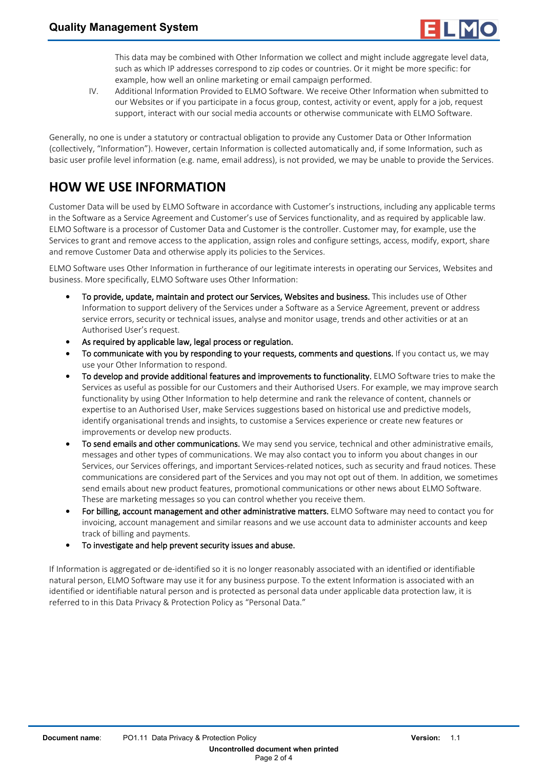

This data may be combined with Other Information we collect and might include aggregate level data, such as which IP addresses correspond to zip codes or countries. Or it might be more specific: for example, how well an online marketing or email campaign performed.

IV. Additional Information Provided to ELMO Software. We receive Other Information when submitted to our Websites or if you participate in a focus group, contest, activity or event, apply for a job, request support, interact with our social media accounts or otherwise communicate with ELMO Software.

Generally, no one is under a statutory or contractual obligation to provide any Customer Data or Other Information (collectively, "Information"). However, certain Information is collected automatically and, if some Information, such as basic user profile level information (e.g. name, email address), is not provided, we may be unable to provide the Services.

## **HOW WE USE INFORMATION**

Customer Data will be used by ELMO Software in accordance with Customer's instructions, including any applicable terms in the Software as a Service Agreement and Customer's use of Services functionality, and as required by applicable law. ELMO Software is a processor of Customer Data and Customer is the controller. Customer may, for example, use the Services to grant and remove access to the application, assign roles and configure settings, access, modify, export, share and remove Customer Data and otherwise apply its policies to the Services.

ELMO Software uses Other Information in furtherance of our legitimate interests in operating our Services, Websites and business. More specifically, ELMO Software uses Other Information:

- To provide, update, maintain and protect our Services, Websites and business. This includes use of Other Information to support delivery of the Services under a Software as a Service Agreement, prevent or address service errors, security or technical issues, analyse and monitor usage, trends and other activities or at an Authorised User's request.
- As required by applicable law, legal process or regulation.
- To communicate with you by responding to your requests, comments and questions. If you contact us, we may use your Other Information to respond.
- To develop and provide additional features and improvements to functionality. ELMO Software tries to make the Services as useful as possible for our Customers and their Authorised Users. For example, we may improve search functionality by using Other Information to help determine and rank the relevance of content, channels or expertise to an Authorised User, make Services suggestions based on historical use and predictive models, identify organisational trends and insights, to customise a Services experience or create new features or improvements or develop new products.
- To send emails and other communications. We may send you service, technical and other administrative emails, messages and other types of communications. We may also contact you to inform you about changes in our Services, our Services offerings, and important Services-related notices, such as security and fraud notices. These communications are considered part of the Services and you may not opt out of them. In addition, we sometimes send emails about new product features, promotional communications or other news about ELMO Software. These are marketing messages so you can control whether you receive them.
- For billing, account management and other administrative matters. ELMO Software may need to contact you for invoicing, account management and similar reasons and we use account data to administer accounts and keep track of billing and payments.
- To investigate and help prevent security issues and abuse.

If Information is aggregated or de-identified so it is no longer reasonably associated with an identified or identifiable natural person, ELMO Software may use it for any business purpose. To the extent Information is associated with an identified or identifiable natural person and is protected as personal data under applicable data protection law, it is referred to in this Data Privacy & Protection Policy as "Personal Data."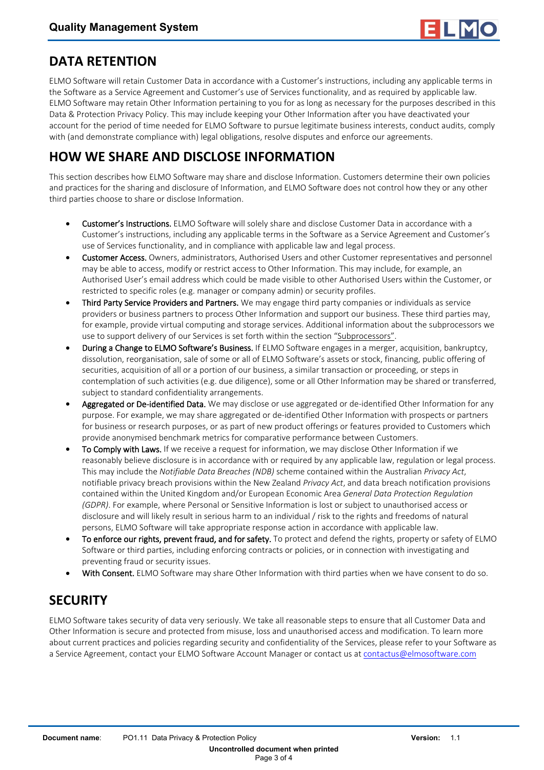

#### **DATA RETENTION**

ELMO Software will retain Customer Data in accordance with a Customer's instructions, including any applicable terms in the Software as a Service Agreement and Customer's use of Services functionality, and as required by applicable law. ELMO Software may retain Other Information pertaining to you for as long as necessary for the purposes described in this Data & Protection Privacy Policy. This may include keeping your Other Information after you have deactivated your account for the period of time needed for ELMO Software to pursue legitimate business interests, conduct audits, comply with (and demonstrate compliance with) legal obligations, resolve disputes and enforce our agreements.

### **HOW WE SHARE AND DISCLOSE INFORMATION**

This section describes how ELMO Software may share and disclose Information. Customers determine their own policies and practices for the sharing and disclosure of Information, and ELMO Software does not control how they or any other third parties choose to share or disclose Information.

- Customer's Instructions. ELMO Software will solely share and disclose Customer Data in accordance with a Customer's instructions, including any applicable terms in the Software as a Service Agreement and Customer's use of Services functionality, and in compliance with applicable law and legal process.
- Customer Access. Owners, administrators, Authorised Users and other Customer representatives and personnel may be able to access, modify or restrict access to Other Information. This may include, for example, an Authorised User's email address which could be made visible to other Authorised Users within the Customer, or restricted to specific roles (e.g. manager or company admin) or security profiles.
- Third Party Service Providers and Partners. We may engage third party companies or individuals as service providers or business partners to process Other Information and support our business. These third parties may, for example, provide virtual computing and storage services. Additional information about the subprocessors we use to support delivery of our Services is set forth within the section "Subprocessors".
- During a Change to ELMO Software's Business. If ELMO Software engages in a merger, acquisition, bankruptcy, dissolution, reorganisation, sale of some or all of ELMO Software's assets or stock, financing, public offering of securities, acquisition of all or a portion of our business, a similar transaction or proceeding, or steps in contemplation of such activities (e.g. due diligence), some or all Other Information may be shared or transferred, subject to standard confidentiality arrangements.
- Aggregated or De-identified Data. We may disclose or use aggregated or de-identified Other Information for any purpose. For example, we may share aggregated or de-identified Other Information with prospects or partners for business or research purposes, or as part of new product offerings or features provided to Customers which provide anonymised benchmark metrics for comparative performance between Customers.
- To Comply with Laws. If we receive a request for information, we may disclose Other Information if we reasonably believe disclosure is in accordance with or required by any applicable law, regulation or legal process. This may include the *Notifiable Data Breaches (NDB)* scheme contained within the Australian *Privacy Act*, notifiable privacy breach provisions within the New Zealand *Privacy Act*, and data breach notification provisions contained within the United Kingdom and/or European Economic Area *General Data Protection Regulation (GDPR)*. For example, where Personal or Sensitive Information is lost or subject to unauthorised access or disclosure and will likely result in serious harm to an individual / risk to the rights and freedoms of natural persons, ELMO Software will take appropriate response action in accordance with applicable law.
- To enforce our rights, prevent fraud, and for safety. To protect and defend the rights, property or safety of ELMO Software or third parties, including enforcing contracts or policies, or in connection with investigating and preventing fraud or security issues.
- With Consent. ELMO Software may share Other Information with third parties when we have consent to do so.

### **SECURITY**

ELMO Software takes security of data very seriously. We take all reasonable steps to ensure that all Customer Data and Other Information is secure and protected from misuse, loss and unauthorised access and modification. To learn more about current practices and policies regarding security and confidentiality of the Services, please refer to your Software as a Service Agreement, contact your ELMO Software Account Manager or contact us at [contactus@elmosoftware.com](mailto:contactus@elmosoftware.com.au)